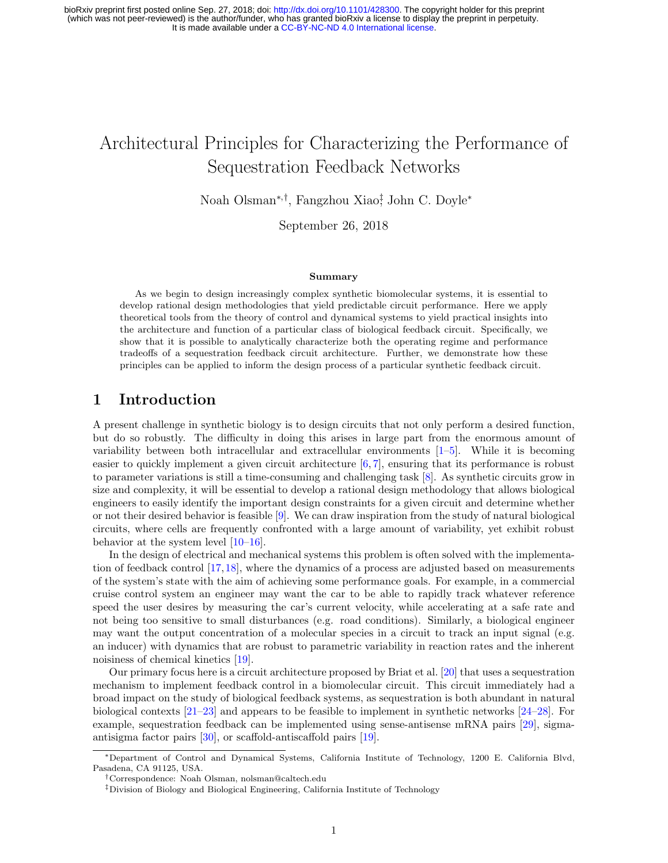# Architectural Principles for Characterizing the Performance of Sequestration Feedback Networks

Noah Olsman<sup>∗</sup>,† , Fangzhou Xiao‡ , John C. Doyle<sup>∗</sup>

September 26, 2018

#### Summary

As we begin to design increasingly complex synthetic biomolecular systems, it is essential to develop rational design methodologies that yield predictable circuit performance. Here we apply theoretical tools from the theory of control and dynamical systems to yield practical insights into the architecture and function of a particular class of biological feedback circuit. Specifically, we show that it is possible to analytically characterize both the operating regime and performance tradeoffs of a sequestration feedback circuit architecture. Further, we demonstrate how these principles can be applied to inform the design process of a particular synthetic feedback circuit.

# 1 Introduction

A present challenge in synthetic biology is to design circuits that not only perform a desired function, but do so robustly. The difficulty in doing this arises in large part from the enormous amount of variability between both intracellular and extracellular environments  $[1-5]$  $[1-5]$ . While it is becoming easier to quickly implement a given circuit architecture [\[6,](#page-14-2) [7\]](#page-14-3), ensuring that its performance is robust to parameter variations is still a time-consuming and challenging task [\[8\]](#page-15-0). As synthetic circuits grow in size and complexity, it will be essential to develop a rational design methodology that allows biological engineers to easily identify the important design constraints for a given circuit and determine whether or not their desired behavior is feasible [\[9\]](#page-15-1). We can draw inspiration from the study of natural biological circuits, where cells are frequently confronted with a large amount of variability, yet exhibit robust behavior at the system level [\[10–](#page-15-2)[16\]](#page-15-3).

In the design of electrical and mechanical systems this problem is often solved with the implementation of feedback control [\[17,](#page-15-4)[18\]](#page-15-5), where the dynamics of a process are adjusted based on measurements of the system's state with the aim of achieving some performance goals. For example, in a commercial cruise control system an engineer may want the car to be able to rapidly track whatever reference speed the user desires by measuring the car's current velocity, while accelerating at a safe rate and not being too sensitive to small disturbances (e.g. road conditions). Similarly, a biological engineer may want the output concentration of a molecular species in a circuit to track an input signal (e.g. an inducer) with dynamics that are robust to parametric variability in reaction rates and the inherent noisiness of chemical kinetics [\[19\]](#page-15-6).

Our primary focus here is a circuit architecture proposed by Briat et al. [\[20\]](#page-15-7) that uses a sequestration mechanism to implement feedback control in a biomolecular circuit. This circuit immediately had a broad impact on the study of biological feedback systems, as sequestration is both abundant in natural biological contexts [\[21–](#page-15-8)[23\]](#page-15-9) and appears to be feasible to implement in synthetic networks [\[24–](#page-15-10)[28\]](#page-16-0). For example, sequestration feedback can be implemented using sense-antisense mRNA pairs [\[29\]](#page-16-1), sigmaantisigma factor pairs [\[30\]](#page-16-2), or scaffold-antiscaffold pairs [\[19\]](#page-15-6).

<sup>∗</sup>Department of Control and Dynamical Systems, California Institute of Technology, 1200 E. California Blvd, Pasadena, CA 91125, USA.

<sup>†</sup>Correspondence: Noah Olsman, nolsman@caltech.edu

<sup>‡</sup>Division of Biology and Biological Engineering, California Institute of Technology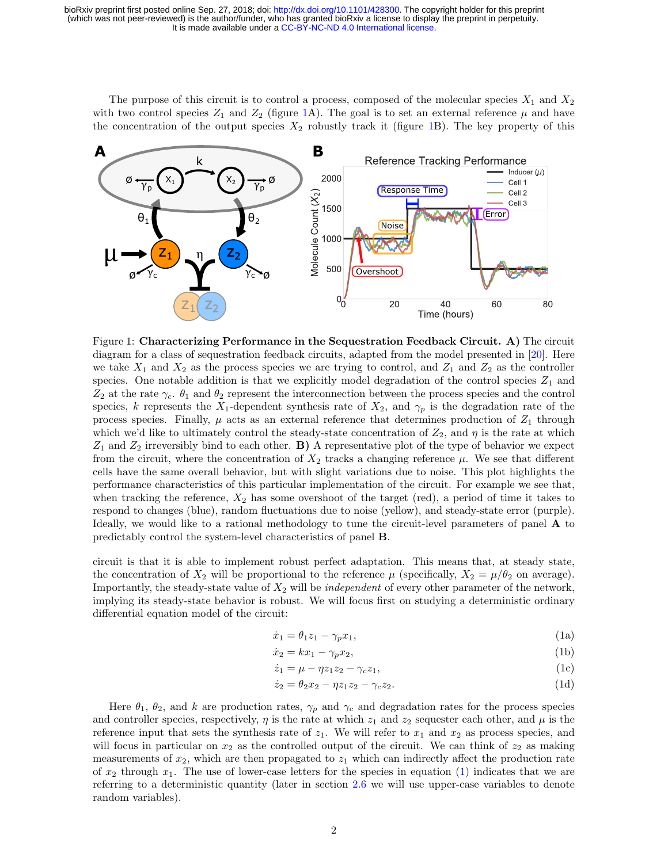The purpose of this circuit is to control a process, composed of the molecular species  $X_1$  and  $X_2$ with two control species  $Z_1$  and  $Z_2$  (figure [1A](#page-1-0)). The goal is to set an external reference  $\mu$  and have the concentration of the output species  $X_2$  robustly track it (figure [1B](#page-1-0)). The key property of this



<span id="page-1-0"></span>Figure 1: Characterizing Performance in the Sequestration Feedback Circuit. A) The circuit diagram for a class of sequestration feedback circuits, adapted from the model presented in [\[20\]](#page-15-7). Here we take  $X_1$  and  $X_2$  as the process species we are trying to control, and  $Z_1$  and  $Z_2$  as the controller species. One notable addition is that we explicitly model degradation of the control species  $Z_1$  and  $Z_2$  at the rate  $\gamma_c$ .  $\theta_1$  and  $\theta_2$  represent the interconnection between the process species and the control species, k represents the X<sub>1</sub>-dependent synthesis rate of X<sub>2</sub>, and  $\gamma_p$  is the degradation rate of the process species. Finally,  $\mu$  acts as an external reference that determines production of  $Z_1$  through which we'd like to ultimately control the steady-state concentration of  $Z_2$ , and  $\eta$  is the rate at which  $Z_1$  and  $Z_2$  irreversibly bind to each other. **B**) A representative plot of the type of behavior we expect from the circuit, where the concentration of  $X_2$  tracks a changing reference  $\mu$ . We see that different cells have the same overall behavior, but with slight variations due to noise. This plot highlights the performance characteristics of this particular implementation of the circuit. For example we see that, when tracking the reference,  $X_2$  has some overshoot of the target (red), a period of time it takes to respond to changes (blue), random fluctuations due to noise (yellow), and steady-state error (purple). Ideally, we would like to a rational methodology to tune the circuit-level parameters of panel  $\bf{A}$  to predictably control the system-level characteristics of panel B.

circuit is that it is able to implement robust perfect adaptation. This means that, at steady state, the concentration of  $X_2$  will be proportional to the reference  $\mu$  (specifically,  $X_2 = \mu/\theta_2$  on average). Importantly, the steady-state value of  $X_2$  will be *independent* of every other parameter of the network, implying its steady-state behavior is robust. We will focus first on studying a deterministic ordinary differential equation model of the circuit:

<span id="page-1-4"></span><span id="page-1-1"></span>
$$
\dot{x}_1 = \theta_1 z_1 - \gamma_p x_1,\tag{1a}
$$

<span id="page-1-2"></span>
$$
\dot{x}_2 = kx_1 - \gamma_p x_2,\tag{1b}
$$

$$
\dot{z}_1 = \mu - \eta z_1 z_2 - \gamma_c z_1,\tag{1c}
$$

<span id="page-1-3"></span>
$$
\dot{z}_2 = \theta_2 x_2 - \eta z_1 z_2 - \gamma_c z_2.
$$
 (1d)

Here  $\theta_1$ ,  $\theta_2$ , and k are production rates,  $\gamma_p$  and  $\gamma_c$  and degradation rates for the process species and controller species, respectively,  $\eta$  is the rate at which  $z_1$  and  $z_2$  sequester each other, and  $\mu$  is the reference input that sets the synthesis rate of  $z_1$ . We will refer to  $x_1$  and  $x_2$  as process species, and will focus in particular on  $x_2$  as the controlled output of the circuit. We can think of  $z_2$  as making measurements of  $x_2$ , which are then propagated to  $z_1$  which can indirectly affect the production rate of  $x_2$  through  $x_1$ . The use of lower-case letters for the species in equation [\(1\)](#page-1-1) indicates that we are referring to a deterministic quantity (later in section [2.6](#page-10-0) we will use upper-case variables to denote random variables).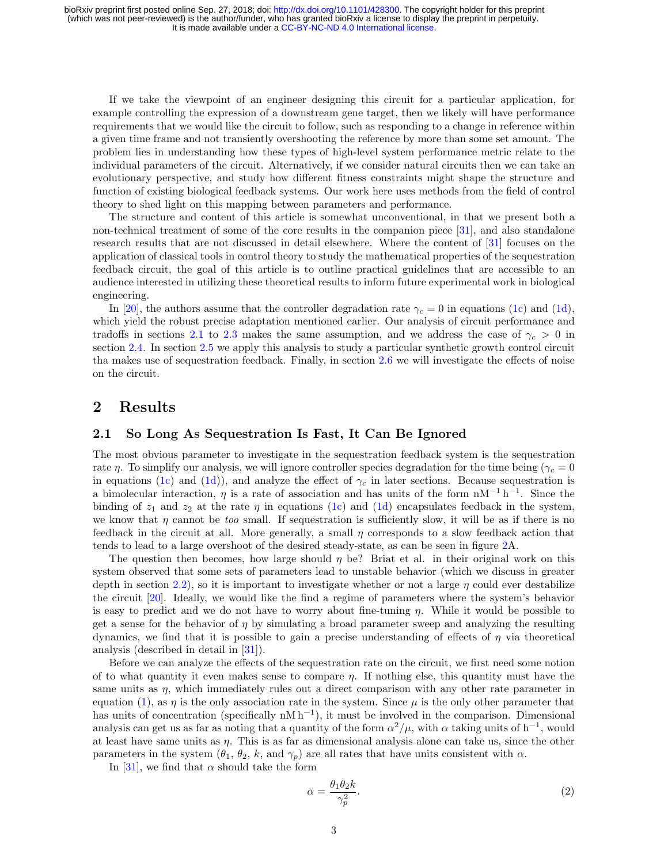If we take the viewpoint of an engineer designing this circuit for a particular application, for example controlling the expression of a downstream gene target, then we likely will have performance requirements that we would like the circuit to follow, such as responding to a change in reference within a given time frame and not transiently overshooting the reference by more than some set amount. The problem lies in understanding how these types of high-level system performance metric relate to the individual parameters of the circuit. Alternatively, if we consider natural circuits then we can take an evolutionary perspective, and study how different fitness constraints might shape the structure and function of existing biological feedback systems. Our work here uses methods from the field of control theory to shed light on this mapping between parameters and performance.

The structure and content of this article is somewhat unconventional, in that we present both a non-technical treatment of some of the core results in the companion piece [\[31\]](#page-16-3), and also standalone research results that are not discussed in detail elsewhere. Where the content of [\[31\]](#page-16-3) focuses on the application of classical tools in control theory to study the mathematical properties of the sequestration feedback circuit, the goal of this article is to outline practical guidelines that are accessible to an audience interested in utilizing these theoretical results to inform future experimental work in biological engineering.

In [\[20\]](#page-15-7), the authors assume that the controller degradation rate  $\gamma_c = 0$  in equations [\(1c\)](#page-1-2) and [\(1d\)](#page-1-3), which yield the robust precise adaptation mentioned earlier. Our analysis of circuit performance and tradoffs in sections [2.1](#page-2-0) to [2.3](#page-5-0) makes the same assumption, and we address the case of  $\gamma_c > 0$  in section [2.4.](#page-6-0) In section [2.5](#page-8-0) we apply this analysis to study a particular synthetic growth control circuit tha makes use of sequestration feedback. Finally, in section [2.6](#page-10-0) we will investigate the effects of noise on the circuit.

# 2 Results

#### <span id="page-2-0"></span>2.1 So Long As Sequestration Is Fast, It Can Be Ignored

The most obvious parameter to investigate in the sequestration feedback system is the sequestration rate η. To simplify our analysis, we will ignore controller species degradation for the time being ( $\gamma_c = 0$ ) in equations [\(1c\)](#page-1-2) and [\(1d\)](#page-1-3)), and analyze the effect of  $\gamma_c$  in later sections. Because sequestration is a bimolecular interaction,  $\eta$  is a rate of association and has units of the form nM<sup>-1</sup> h<sup>-1</sup>. Since the binding of  $z_1$  and  $z_2$  at the rate  $\eta$  in equations [\(1c\)](#page-1-2) and [\(1d\)](#page-1-3) encapsulates feedback in the system, we know that  $\eta$  cannot be too small. If sequestration is sufficiently slow, it will be as if there is no feedback in the circuit at all. More generally, a small  $\eta$  corresponds to a slow feedback action that tends to lead to a large overshoot of the desired steady-state, as can be seen in figure [2A](#page-3-0).

The question then becomes, how large should  $\eta$  be? Briat et al. in their original work on this system observed that some sets of parameters lead to unstable behavior (which we discuss in greater depth in section [2.2\)](#page-4-0), so it is important to investigate whether or not a large  $\eta$  could ever destabilize the circuit [\[20\]](#page-15-7). Ideally, we would like the find a regime of parameters where the system's behavior is easy to predict and we do not have to worry about fine-tuning  $\eta$ . While it would be possible to get a sense for the behavior of  $\eta$  by simulating a broad parameter sweep and analyzing the resulting dynamics, we find that it is possible to gain a precise understanding of effects of  $\eta$  via theoretical analysis (described in detail in [\[31\]](#page-16-3)).

Before we can analyze the effects of the sequestration rate on the circuit, we first need some notion of to what quantity it even makes sense to compare  $\eta$ . If nothing else, this quantity must have the same units as  $\eta$ , which immediately rules out a direct comparison with any other rate parameter in equation [\(1\)](#page-1-1), as  $\eta$  is the only association rate in the system. Since  $\mu$  is the only other parameter that has units of concentration (specifically  $nM h^{-1}$ ), it must be involved in the comparison. Dimensional analysis can get us as far as noting that a quantity of the form  $\alpha^2/\mu$ , with  $\alpha$  taking units of h<sup>-1</sup>, would at least have same units as η. This is as far as dimensional analysis alone can take us, since the other parameters in the system  $(\theta_1, \theta_2, k, \text{ and } \gamma_p)$  are all rates that have units consistent with  $\alpha$ .

In [\[31\]](#page-16-3), we find that  $\alpha$  should take the form

<span id="page-2-1"></span>
$$
\alpha = \frac{\theta_1 \theta_2 k}{\gamma_p^2}.\tag{2}
$$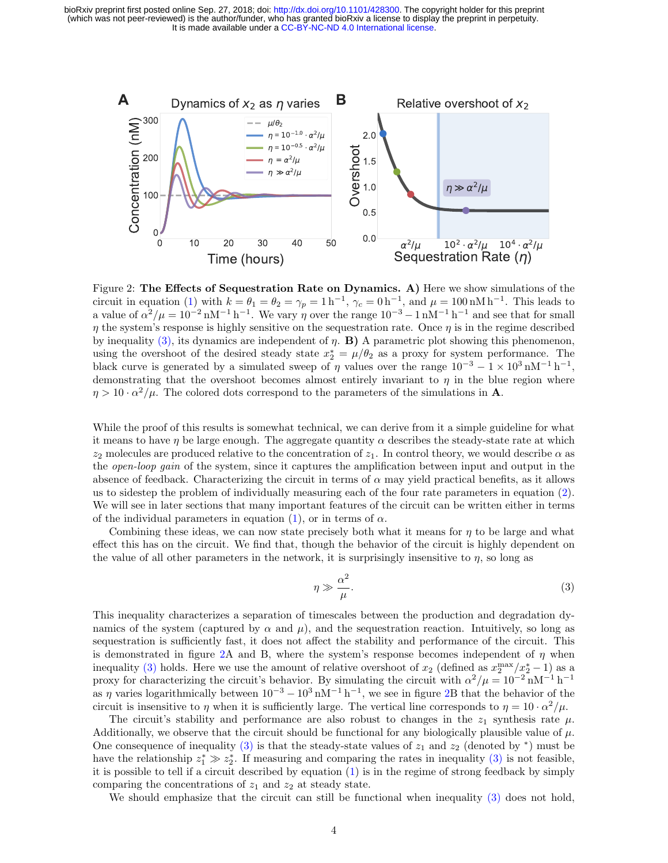

<span id="page-3-0"></span>Figure 2: The Effects of Sequestration Rate on Dynamics. A) Here we show simulations of the circuit in equation [\(1\)](#page-1-1) with  $k = \theta_1 = \theta_2 = \gamma_p = 1 \text{ h}^{-1}$ ,  $\gamma_c = 0 \text{ h}^{-1}$ , and  $\mu = 100 \text{ nM h}^{-1}$ . This leads to a value of  $\alpha^2/\mu = 10^{-2} \text{ nM}^{-1} \text{ h}^{-1}$ . We vary  $\eta$  over the range  $10^{-3} - 1 \text{ nM}^{-1} \text{ h}^{-1}$  and see that for small  $\eta$  the system's response is highly sensitive on the sequestration rate. Once  $\eta$  is in the regime described by inequality [\(3\),](#page-3-1) its dynamics are independent of  $\eta$ . **B)** A parametric plot showing this phenomenon, using the overshoot of the desired steady state  $x_2^* = \mu/\theta_2$  as a proxy for system performance. The black curve is generated by a simulated sweep of  $\eta$  values over the range  $10^{-3} - 1 \times 10^{3} \text{ nM}^{-1} \text{ h}^{-1}$ , demonstrating that the overshoot becomes almost entirely invariant to  $\eta$  in the blue region where  $\eta > 10 \cdot \alpha^2/\mu$ . The colored dots correspond to the parameters of the simulations in **A**.

While the proof of this results is somewhat technical, we can derive from it a simple guideline for what it means to have  $\eta$  be large enough. The aggregate quantity  $\alpha$  describes the steady-state rate at which  $z_2$  molecules are produced relative to the concentration of  $z_1$ . In control theory, we would describe  $\alpha$  as the open-loop gain of the system, since it captures the amplification between input and output in the absence of feedback. Characterizing the circuit in terms of  $\alpha$  may yield practical benefits, as it allows us to sidestep the problem of individually measuring each of the four rate parameters in equation [\(2\)](#page-2-1). We will see in later sections that many important features of the circuit can be written either in terms of the individual parameters in equation [\(1\)](#page-1-1), or in terms of  $\alpha$ .

Combining these ideas, we can now state precisely both what it means for  $\eta$  to be large and what effect this has on the circuit. We find that, though the behavior of the circuit is highly dependent on the value of all other parameters in the network, it is surprisingly insensitive to  $\eta$ , so long as

<span id="page-3-1"></span>
$$
\eta \gg \frac{\alpha^2}{\mu}.\tag{3}
$$

This inequality characterizes a separation of timescales between the production and degradation dynamics of the system (captured by  $\alpha$  and  $\mu$ ), and the sequestration reaction. Intuitively, so long as sequestration is sufficiently fast, it does not affect the stability and performance of the circuit. This is demonstrated in figure [2A](#page-3-0) and B, where the system's response becomes independent of  $\eta$  when inequality [\(3\)](#page-3-1) holds. Here we use the amount of relative overshoot of  $x_2$  (defined as  $x_2^{\max}/x_2^* - 1$ ) as a proxy for characterizing the circuit's behavior. By simulating the circuit with  $\alpha^2/\mu = 10^{-2} \text{ nM}^{-1} \text{ h}^{-1}$ as  $\eta$  varies logarithmically between  $10^{-3} - 10^{3}$  nM<sup>-1</sup> h<sup>-1</sup>, we see in figure [2B](#page-3-0) that the behavior of the circuit is insensitive to  $\eta$  when it is sufficiently large. The vertical line corresponds to  $\eta = 10 \cdot \alpha^2/\mu$ .

The circuit's stability and performance are also robust to changes in the  $z_1$  synthesis rate  $\mu$ . Additionally, we observe that the circuit should be functional for any biologically plausible value of  $\mu$ . One consequence of inequality [\(3\)](#page-3-1) is that the steady-state values of  $z_1$  and  $z_2$  (denoted by \*) must be have the relationship  $z_1^* \gg z_2^*$ . If measuring and comparing the rates in inequality [\(3\)](#page-3-1) is not feasible, it is possible to tell if a circuit described by equation  $(1)$  is in the regime of strong feedback by simply comparing the concentrations of  $z_1$  and  $z_2$  at steady state.

We should emphasize that the circuit can still be functional when inequality [\(3\)](#page-3-1) does not hold,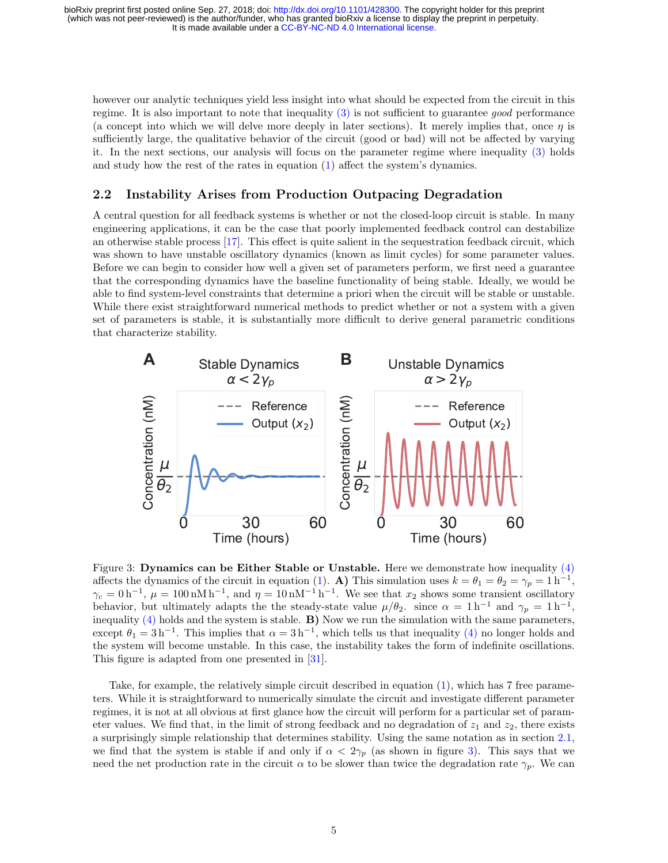however our analytic techniques yield less insight into what should be expected from the circuit in this regime. It is also important to note that inequality [\(3\)](#page-3-1) is not sufficient to guarantee good performance (a concept into which we will delve more deeply in later sections). It merely implies that, once  $\eta$  is sufficiently large, the qualitative behavior of the circuit (good or bad) will not be affected by varying it. In the next sections, our analysis will focus on the parameter regime where inequality [\(3\)](#page-3-1) holds and study how the rest of the rates in equation [\(1\)](#page-1-1) affect the system's dynamics.

#### <span id="page-4-0"></span>2.2 Instability Arises from Production Outpacing Degradation

A central question for all feedback systems is whether or not the closed-loop circuit is stable. In many engineering applications, it can be the case that poorly implemented feedback control can destabilize an otherwise stable process [\[17\]](#page-15-4). This effect is quite salient in the sequestration feedback circuit, which was shown to have unstable oscillatory dynamics (known as limit cycles) for some parameter values. Before we can begin to consider how well a given set of parameters perform, we first need a guarantee that the corresponding dynamics have the baseline functionality of being stable. Ideally, we would be able to find system-level constraints that determine a priori when the circuit will be stable or unstable. While there exist straightforward numerical methods to predict whether or not a system with a given set of parameters is stable, it is substantially more difficult to derive general parametric conditions that characterize stability.



<span id="page-4-1"></span>Figure 3: Dynamics can be Either Stable or Unstable. Here we demonstrate how inequality [\(4\)](#page-5-1) affects the dynamics of the circuit in equation [\(1\)](#page-1-1). A) This simulation uses  $k = \theta_1 = \theta_2 = \gamma_p = 1 \text{ h}^{-1}$ ,  $\gamma_c = 0 \,\rm h^{-1}$ ,  $\mu = 100 \,\rm nM h^{-1}$ , and  $\eta = 10 \,\rm nM^{-1} h^{-1}$ . We see that  $x_2$  shows some transient oscillatory behavior, but ultimately adapts the the steady-state value  $\mu/\theta_2$ . since  $\alpha = 1 h^{-1}$  and  $\gamma_p = 1 h^{-1}$ , inequality  $(4)$  holds and the system is stable. **B**) Now we run the simulation with the same parameters, except  $\theta_1 = 3 h^{-1}$ . This implies that  $\alpha = 3 h^{-1}$ , which tells us that inequality [\(4\)](#page-5-1) no longer holds and the system will become unstable. In this case, the instability takes the form of indefinite oscillations. This figure is adapted from one presented in [\[31\]](#page-16-3).

Take, for example, the relatively simple circuit described in equation [\(1\)](#page-1-1), which has 7 free parameters. While it is straightforward to numerically simulate the circuit and investigate different parameter regimes, it is not at all obvious at first glance how the circuit will perform for a particular set of parameter values. We find that, in the limit of strong feedback and no degradation of  $z_1$  and  $z_2$ , there exists a surprisingly simple relationship that determines stability. Using the same notation as in section [2.1,](#page-2-0) we find that the system is stable if and only if  $\alpha < 2\gamma_p$  (as shown in figure [3\)](#page-4-1). This says that we need the net production rate in the circuit  $\alpha$  to be slower than twice the degradation rate  $\gamma_p$ . We can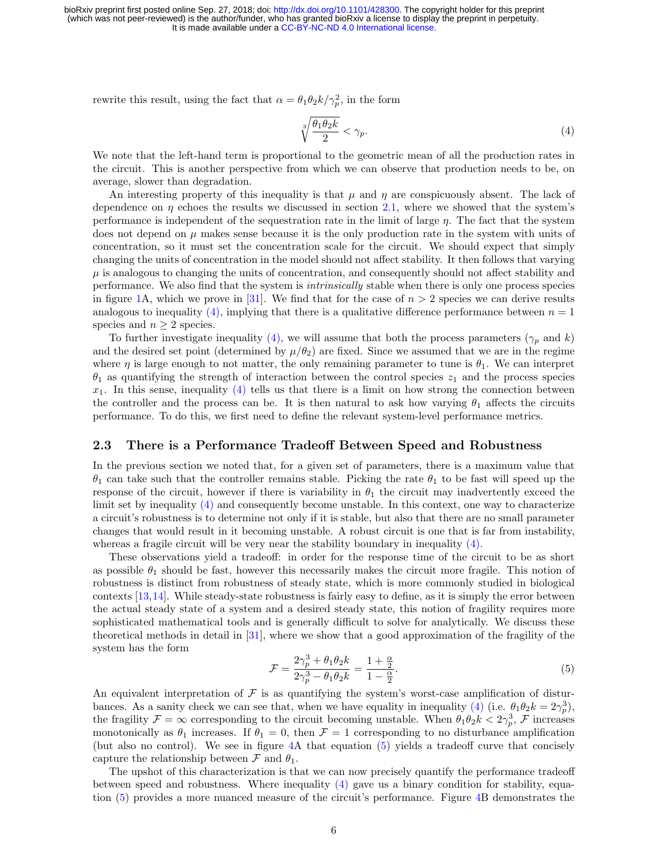rewrite this result, using the fact that  $\alpha = \theta_1 \theta_2 k / \gamma_p^2$ , in the form

<span id="page-5-1"></span>
$$
\sqrt[3]{\frac{\theta_1 \theta_2 k}{2}} < \gamma_p. \tag{4}
$$

We note that the left-hand term is proportional to the geometric mean of all the production rates in the circuit. This is another perspective from which we can observe that production needs to be, on average, slower than degradation.

An interesting property of this inequality is that  $\mu$  and  $\eta$  are conspicuously absent. The lack of dependence on  $\eta$  echoes the results we discussed in section [2.1,](#page-2-0) where we showed that the system's performance is independent of the sequestration rate in the limit of large  $\eta$ . The fact that the system does not depend on  $\mu$  makes sense because it is the only production rate in the system with units of concentration, so it must set the concentration scale for the circuit. We should expect that simply changing the units of concentration in the model should not affect stability. It then follows that varying  $\mu$  is analogous to changing the units of concentration, and consequently should not affect stability and performance. We also find that the system is intrinsically stable when there is only one process species in figure [1A](#page-1-0), which we prove in [\[31\]](#page-16-3). We find that for the case of  $n > 2$  species we can derive results analogous to inequality [\(4\),](#page-5-1) implying that there is a qualitative difference performance between  $n = 1$ species and  $n \geq 2$  species.

To further investigate inequality [\(4\),](#page-5-1) we will assume that both the process parameters ( $\gamma_p$  and k) and the desired set point (determined by  $\mu/\theta_2$ ) are fixed. Since we assumed that we are in the regime where  $\eta$  is large enough to not matter, the only remaining parameter to tune is  $\theta_1$ . We can interpret  $\theta_1$  as quantifying the strength of interaction between the control species  $z_1$  and the process species  $x_1$ . In this sense, inequality [\(4\)](#page-5-1) tells us that there is a limit on how strong the connection between the controller and the process can be. It is then natural to ask how varying  $\theta_1$  affects the circuits performance. To do this, we first need to define the relevant system-level performance metrics.

#### <span id="page-5-0"></span>2.3 There is a Performance Tradeoff Between Speed and Robustness

In the previous section we noted that, for a given set of parameters, there is a maximum value that  $\theta_1$  can take such that the controller remains stable. Picking the rate  $\theta_1$  to be fast will speed up the response of the circuit, however if there is variability in  $\theta_1$  the circuit may inadvertently exceed the limit set by inequality  $(4)$  and consequently become unstable. In this context, one way to characterize a circuit's robustness is to determine not only if it is stable, but also that there are no small parameter changes that would result in it becoming unstable. A robust circuit is one that is far from instability, whereas a fragile circuit will be very near the stability boundary in inequality [\(4\).](#page-5-1)

These observations yield a tradeoff: in order for the response time of the circuit to be as short as possible  $\theta_1$  should be fast, however this necessarily makes the circuit more fragile. This notion of robustness is distinct from robustness of steady state, which is more commonly studied in biological contexts [\[13,](#page-15-11)[14\]](#page-15-12). While steady-state robustness is fairly easy to define, as it is simply the error between the actual steady state of a system and a desired steady state, this notion of fragility requires more sophisticated mathematical tools and is generally difficult to solve for analytically. We discuss these theoretical methods in detail in [\[31\]](#page-16-3), where we show that a good approximation of the fragility of the system has the form

<span id="page-5-2"></span>
$$
\mathcal{F} = \frac{2\gamma_p^3 + \theta_1 \theta_2 k}{2\gamma_p^3 - \theta_1 \theta_2 k} = \frac{1 + \frac{\alpha}{2}}{1 - \frac{\alpha}{2}}.
$$
\n(5)

An equivalent interpretation of  $\mathcal F$  is as quantifying the system's worst-case amplification of distur-bances. As a sanity check we can see that, when we have equality in inequality [\(4\)](#page-5-1) (i.e.  $\theta_1 \theta_2 k = 2\gamma_p^3$ ), the fragility  $\mathcal{F} = \infty$  corresponding to the circuit becoming unstable. When  $\theta_1 \theta_2 k < 2\gamma_p^3$ ,  $\mathcal{F}$  increases monotonically as  $\theta_1$  increases. If  $\theta_1 = 0$ , then  $\mathcal{F} = 1$  corresponding to no disturbance amplification (but also no control). We see in figure [4A](#page-6-1) that equation [\(5\)](#page-5-2) yields a tradeoff curve that concisely capture the relationship between  $\mathcal F$  and  $\theta_1$ .

The upshot of this characterization is that we can now precisely quantify the performance tradeoff between speed and robustness. Where inequality [\(4\)](#page-5-1) gave us a binary condition for stability, equation [\(5\)](#page-5-2) provides a more nuanced measure of the circuit's performance. Figure [4B](#page-6-1) demonstrates the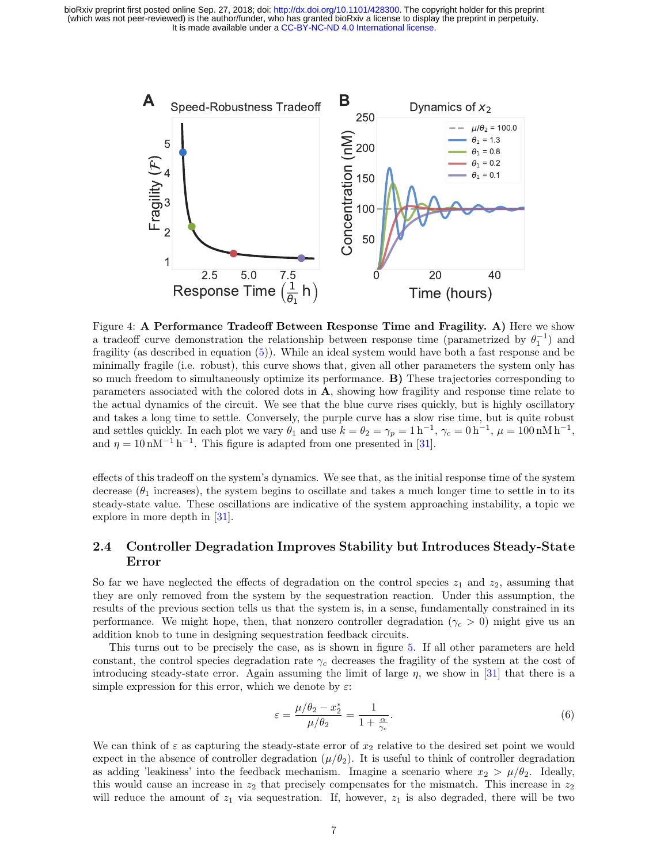

<span id="page-6-1"></span>Figure 4: A Performance Tradeoff Between Response Time and Fragility. A) Here we show a tradeoff curve demonstration the relationship between response time (parametrized by  $\theta_1^{-1}$ ) and fragility (as described in equation [\(5\)](#page-5-2)). While an ideal system would have both a fast response and be minimally fragile (i.e. robust), this curve shows that, given all other parameters the system only has so much freedom to simultaneously optimize its performance. B) These trajectories corresponding to parameters associated with the colored dots in A, showing how fragility and response time relate to the actual dynamics of the circuit. We see that the blue curve rises quickly, but is highly oscillatory and takes a long time to settle. Conversely, the purple curve has a slow rise time, but is quite robust and settles quickly. In each plot we vary  $\theta_1$  and use  $k = \theta_2 = \gamma_p = 1 \text{ h}^{-1}$ ,  $\gamma_c = 0 \text{ h}^{-1}$ ,  $\mu = 100 \text{ nM h}^{-1}$ , and  $\eta = 10 \text{ nM}^{-1} \text{ h}^{-1}$ . This figure is adapted from one presented in [\[31\]](#page-16-3).

effects of this tradeoff on the system's dynamics. We see that, as the initial response time of the system decrease  $(\theta_1$  increases), the system begins to oscillate and takes a much longer time to settle in to its steady-state value. These oscillations are indicative of the system approaching instability, a topic we explore in more depth in [\[31\]](#page-16-3).

# <span id="page-6-0"></span>2.4 Controller Degradation Improves Stability but Introduces Steady-State Error

So far we have neglected the effects of degradation on the control species  $z_1$  and  $z_2$ , assuming that they are only removed from the system by the sequestration reaction. Under this assumption, the results of the previous section tells us that the system is, in a sense, fundamentally constrained in its performance. We might hope, then, that nonzero controller degradation ( $\gamma_c > 0$ ) might give us an addition knob to tune in designing sequestration feedback circuits.

This turns out to be precisely the case, as is shown in figure [5.](#page-7-0) If all other parameters are held constant, the control species degradation rate  $\gamma_c$  decreases the fragility of the system at the cost of introducing steady-state error. Again assuming the limit of large  $\eta$ , we show in [\[31\]](#page-16-3) that there is a simple expression for this error, which we denote by  $\varepsilon$ :

<span id="page-6-2"></span>
$$
\varepsilon = \frac{\mu/\theta_2 - x_2^*}{\mu/\theta_2} = \frac{1}{1 + \frac{\alpha}{\gamma_c}}.\tag{6}
$$

We can think of  $\varepsilon$  as capturing the steady-state error of  $x_2$  relative to the desired set point we would expect in the absence of controller degradation  $(\mu/\theta_2)$ . It is useful to think of controller degradation as adding 'leakiness' into the feedback mechanism. Imagine a scenario where  $x_2 > \mu/\theta_2$ . Ideally, this would cause an increase in  $z_2$  that precisely compensates for the mismatch. This increase in  $z_2$ will reduce the amount of  $z_1$  via sequestration. If, however,  $z_1$  is also degraded, there will be two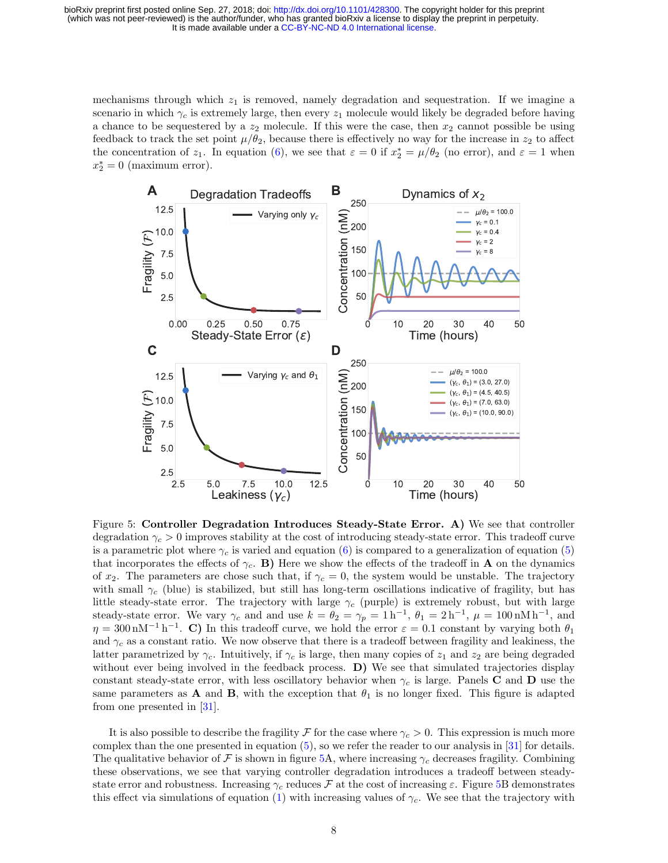mechanisms through which  $z_1$  is removed, namely degradation and sequestration. If we imagine a scenario in which  $\gamma_c$  is extremely large, then every  $z_1$  molecule would likely be degraded before having a chance to be sequestered by a  $z_2$  molecule. If this were the case, then  $x_2$  cannot possible be using feedback to track the set point  $\mu/\theta_2$ , because there is effectively no way for the increase in  $z_2$  to affect the concentration of  $z_1$ . In equation [\(6\)](#page-6-2), we see that  $\varepsilon = 0$  if  $x_2^* = \mu/\theta_2$  (no error), and  $\varepsilon = 1$  when  $x_2^* = 0$  (maximum error).



<span id="page-7-0"></span>Figure 5: Controller Degradation Introduces Steady-State Error. A) We see that controller degradation  $\gamma_c > 0$  improves stability at the cost of introducing steady-state error. This tradeoff curve is a parametric plot where  $\gamma_c$  is varied and equation [\(6\)](#page-6-2) is compared to a generalization of equation [\(5\)](#page-5-2) that incorporates the effects of  $\gamma_c$ . B) Here we show the effects of the tradeoff in **A** on the dynamics of  $x_2$ . The parameters are chose such that, if  $\gamma_c = 0$ , the system would be unstable. The trajectory with small  $\gamma_c$  (blue) is stabilized, but still has long-term oscillations indicative of fragility, but has little steady-state error. The trajectory with large  $\gamma_c$  (purple) is extremely robust, but with large steady-state error. We vary  $\gamma_c$  and and use  $k = \theta_2 = \gamma_p = 1 \text{ h}^{-1}$ ,  $\theta_1 = 2 \text{ h}^{-1}$ ,  $\mu = 100 \text{ nM h}^{-1}$ , and  $\eta = 300 \,\text{nM}^{-1} \,\text{h}^{-1}$ . C) In this tradeoff curve, we hold the error  $\varepsilon = 0.1$  constant by varying both  $\theta_1$ and  $\gamma_c$  as a constant ratio. We now observe that there is a tradeoff between fragility and leakiness, the latter parametrized by  $\gamma_c$ . Intuitively, if  $\gamma_c$  is large, then many copies of  $z_1$  and  $z_2$  are being degraded without ever being involved in the feedback process. **D**) We see that simulated trajectories display constant steady-state error, with less oscillatory behavior when  $\gamma_c$  is large. Panels C and D use the same parameters as **A** and **B**, with the exception that  $\theta_1$  is no longer fixed. This figure is adapted from one presented in [\[31\]](#page-16-3).

It is also possible to describe the fragility F for the case where  $\gamma_c > 0$ . This expression is much more complex than the one presented in equation  $(5)$ , so we refer the reader to our analysis in [\[31\]](#page-16-3) for details. The qualitative behavior of F is shown in figure [5A](#page-7-0), where increasing  $\gamma_c$  decreases fragility. Combining these observations, we see that varying controller degradation introduces a tradeoff between steadystate error and robustness. Increasing  $\gamma_c$  reduces F at the cost of increasing  $\varepsilon$ . Figure [5B](#page-7-0) demonstrates this effect via simulations of equation [\(1\)](#page-1-1) with increasing values of  $\gamma_c$ . We see that the trajectory with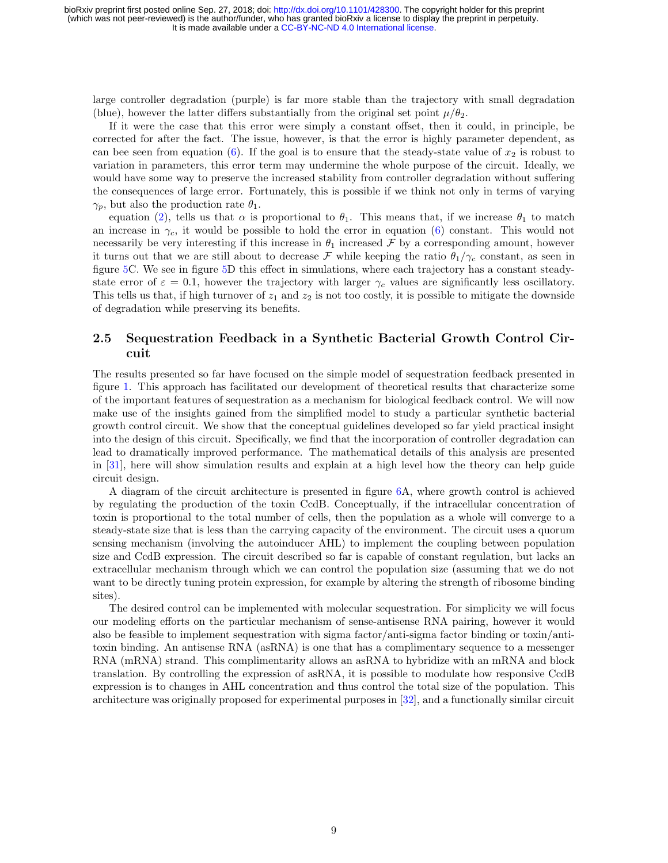large controller degradation (purple) is far more stable than the trajectory with small degradation (blue), however the latter differs substantially from the original set point  $\mu/\theta_2$ .

If it were the case that this error were simply a constant offset, then it could, in principle, be corrected for after the fact. The issue, however, is that the error is highly parameter dependent, as can bee seen from equation [\(6\)](#page-6-2). If the goal is to ensure that the steady-state value of  $x_2$  is robust to variation in parameters, this error term may undermine the whole purpose of the circuit. Ideally, we would have some way to preserve the increased stability from controller degradation without suffering the consequences of large error. Fortunately, this is possible if we think not only in terms of varying  $\gamma_p$ , but also the production rate  $\theta_1$ .

equation [\(2\)](#page-2-1), tells us that  $\alpha$  is proportional to  $\theta_1$ . This means that, if we increase  $\theta_1$  to match an increase in  $\gamma_c$ , it would be possible to hold the error in equation [\(6\)](#page-6-2) constant. This would not necessarily be very interesting if this increase in  $\theta_1$  increased F by a corresponding amount, however it turns out that we are still about to decrease F while keeping the ratio  $\theta_1/\gamma_c$  constant, as seen in figure [5C](#page-7-0). We see in figure [5D](#page-7-0) this effect in simulations, where each trajectory has a constant steadystate error of  $\varepsilon = 0.1$ , however the trajectory with larger  $\gamma_c$  values are significantly less oscillatory. This tells us that, if high turnover of  $z_1$  and  $z_2$  is not too costly, it is possible to mitigate the downside of degradation while preserving its benefits.

### <span id="page-8-0"></span>2.5 Sequestration Feedback in a Synthetic Bacterial Growth Control Circuit

The results presented so far have focused on the simple model of sequestration feedback presented in figure [1.](#page-1-0) This approach has facilitated our development of theoretical results that characterize some of the important features of sequestration as a mechanism for biological feedback control. We will now make use of the insights gained from the simplified model to study a particular synthetic bacterial growth control circuit. We show that the conceptual guidelines developed so far yield practical insight into the design of this circuit. Specifically, we find that the incorporation of controller degradation can lead to dramatically improved performance. The mathematical details of this analysis are presented in [\[31\]](#page-16-3), here will show simulation results and explain at a high level how the theory can help guide circuit design.

A diagram of the circuit architecture is presented in figure [6A](#page-9-0), where growth control is achieved by regulating the production of the toxin CcdB. Conceptually, if the intracellular concentration of toxin is proportional to the total number of cells, then the population as a whole will converge to a steady-state size that is less than the carrying capacity of the environment. The circuit uses a quorum sensing mechanism (involving the autoinducer AHL) to implement the coupling between population size and CcdB expression. The circuit described so far is capable of constant regulation, but lacks an extracellular mechanism through which we can control the population size (assuming that we do not want to be directly tuning protein expression, for example by altering the strength of ribosome binding sites).

The desired control can be implemented with molecular sequestration. For simplicity we will focus our modeling efforts on the particular mechanism of sense-antisense RNA pairing, however it would also be feasible to implement sequestration with sigma factor/anti-sigma factor binding or toxin/antitoxin binding. An antisense RNA (asRNA) is one that has a complimentary sequence to a messenger RNA (mRNA) strand. This complimentarity allows an asRNA to hybridize with an mRNA and block translation. By controlling the expression of asRNA, it is possible to modulate how responsive CcdB expression is to changes in AHL concentration and thus control the total size of the population. This architecture was originally proposed for experimental purposes in [\[32\]](#page-16-4), and a functionally similar circuit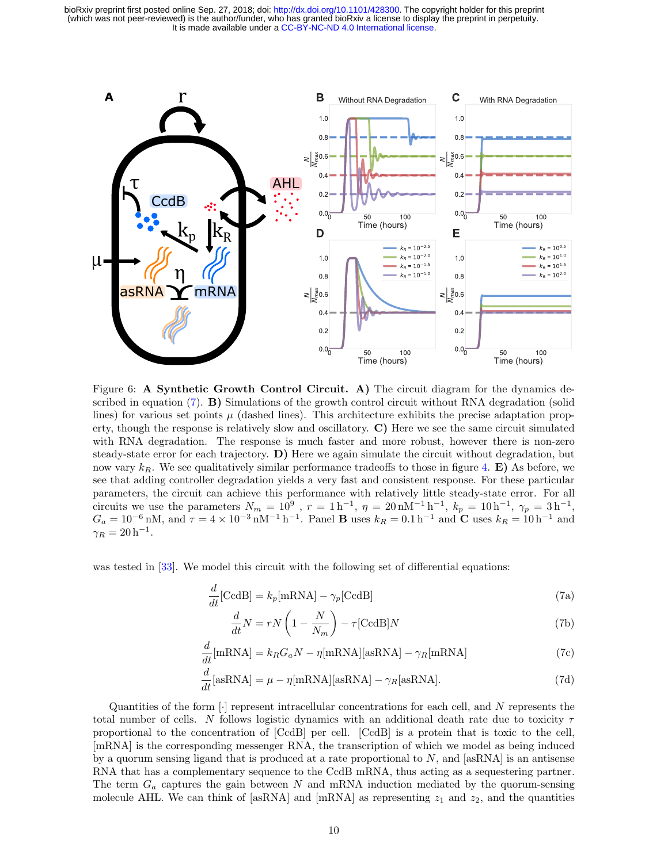

<span id="page-9-0"></span>Figure 6: A Synthetic Growth Control Circuit. A) The circuit diagram for the dynamics de-scribed in equation [\(7\)](#page-9-1). **B)** Simulations of the growth control circuit without RNA degradation (solid lines) for various set points  $\mu$  (dashed lines). This architecture exhibits the precise adaptation property, though the response is relatively slow and oscillatory. C) Here we see the same circuit simulated with RNA degradation. The response is much faster and more robust, however there is non-zero steady-state error for each trajectory. D) Here we again simulate the circuit without degradation, but now vary  $k_R$ . We see qualitatively similar performance tradeoffs to those in figure [4.](#page-6-1) **E**) As before, we see that adding controller degradation yields a very fast and consistent response. For these particular parameters, the circuit can achieve this performance with relatively little steady-state error. For all circuits we use the parameters  $N_m = 10^9$ ,  $r = 1 h^{-1}$ ,  $\eta = 20$  nM<sup>-1</sup> h<sup>-1</sup>,  $k_p = 10 h^{-1}$ ,  $\gamma_p = 3 h^{-1}$ ,  $G_a = 10^{-6}$  nM, and  $\tau = 4 \times 10^{-3}$  nM<sup>-1</sup> h<sup>-1</sup>. Panel **B** uses  $k_R = 0.1$  h<sup>-1</sup> and **C** uses  $k_R = 10$  h<sup>-1</sup> and  $\gamma_R = 20 h^{-1}.$ 

was tested in [\[33\]](#page-16-5). We model this circuit with the following set of differential equations:

$$
\frac{d}{dt}[\text{CcdB}] = k_p[\text{mRNA}] - \gamma_p[\text{CcdB}] \tag{7a}
$$

<span id="page-9-1"></span>
$$
\frac{d}{dt}N = rN\left(1 - \frac{N}{N_m}\right) - \tau[\text{CcdB}]N\tag{7b}
$$

$$
\frac{d}{dt}[\text{mRNA}] = k_R G_a N - \eta[\text{mRNA}][\text{asRNA}] - \gamma_R[\text{mRNA}] \tag{7c}
$$

$$
\frac{d}{dt}[\text{asRNA}] = \mu - \eta[\text{mRNA}][\text{asRNA}] - \gamma_R[\text{asRNA}].\tag{7d}
$$

Quantities of the form  $[\cdot]$  represent intracellular concentrations for each cell, and N represents the total number of cells. N follows logistic dynamics with an additional death rate due to toxicity  $\tau$ proportional to the concentration of [CcdB] per cell. [CcdB] is a protein that is toxic to the cell, [mRNA] is the corresponding messenger RNA, the transcription of which we model as being induced by a quorum sensing ligand that is produced at a rate proportional to  $N$ , and  $|\text{asRNA}|$  is an antisense RNA that has a complementary sequence to the CcdB mRNA, thus acting as a sequestering partner. The term  $G_a$  captures the gain between N and mRNA induction mediated by the quorum-sensing molecule AHL. We can think of [asRNA] and [mRNA] as representing  $z_1$  and  $z_2$ , and the quantities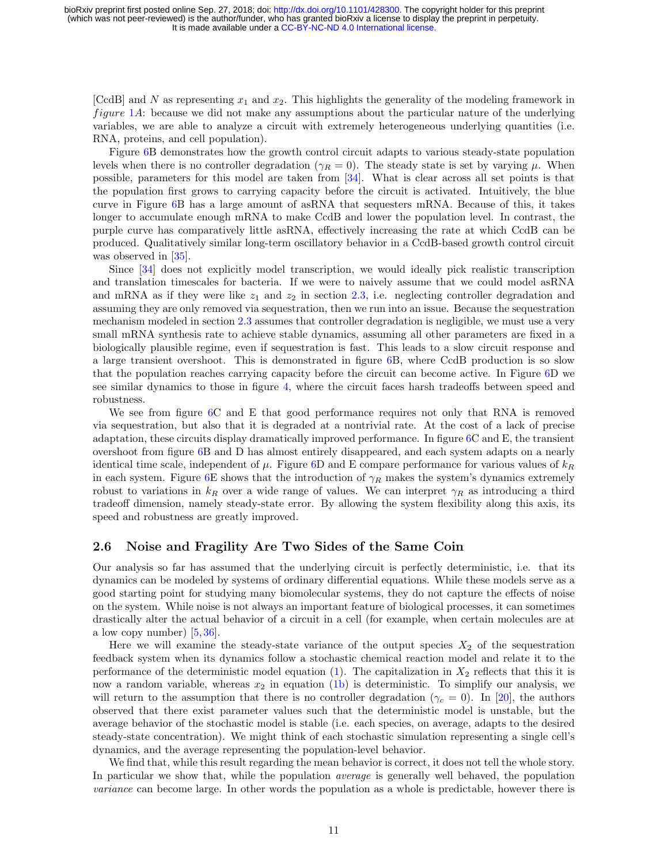[CcdB] and N as representing  $x_1$  and  $x_2$ . This highlights the generality of the modeling framework in *figure*  $1A$  $1A$ : because we did not make any assumptions about the particular nature of the underlying variables, we are able to analyze a circuit with extremely heterogeneous underlying quantities (i.e. RNA, proteins, and cell population).

Figure [6B](#page-9-0) demonstrates how the growth control circuit adapts to various steady-state population levels when there is no controller degradation ( $\gamma_R = 0$ ). The steady state is set by varying  $\mu$ . When possible, parameters for this model are taken from [\[34\]](#page-16-6). What is clear across all set points is that the population first grows to carrying capacity before the circuit is activated. Intuitively, the blue curve in Figure [6B](#page-9-0) has a large amount of asRNA that sequesters mRNA. Because of this, it takes longer to accumulate enough mRNA to make CcdB and lower the population level. In contrast, the purple curve has comparatively little asRNA, effectively increasing the rate at which CcdB can be produced. Qualitatively similar long-term oscillatory behavior in a CcdB-based growth control circuit was observed in [\[35\]](#page-16-7).

Since [\[34\]](#page-16-6) does not explicitly model transcription, we would ideally pick realistic transcription and translation timescales for bacteria. If we were to naively assume that we could model asRNA and mRNA as if they were like  $z_1$  and  $z_2$  in section [2.3,](#page-5-0) i.e. neglecting controller degradation and assuming they are only removed via sequestration, then we run into an issue. Because the sequestration mechanism modeled in section [2.3](#page-5-0) assumes that controller degradation is negligible, we must use a very small mRNA synthesis rate to achieve stable dynamics, assuming all other parameters are fixed in a biologically plausible regime, even if sequestration is fast. This leads to a slow circuit response and a large transient overshoot. This is demonstrated in figure [6B](#page-9-0), where CcdB production is so slow that the population reaches carrying capacity before the circuit can become active. In Figure [6D](#page-9-0) we see similar dynamics to those in figure [4,](#page-6-1) where the circuit faces harsh tradeoffs between speed and robustness.

We see from figure [6C](#page-9-0) and E that good performance requires not only that RNA is removed via sequestration, but also that it is degraded at a nontrivial rate. At the cost of a lack of precise adaptation, these circuits display dramatically improved performance. In figure [6C](#page-9-0) and E, the transient overshoot from figure [6B](#page-9-0) and D has almost entirely disappeared, and each system adapts on a nearly identical time scale, independent of  $\mu$ . Figure [6D](#page-9-0) and E compare performance for various values of  $k_R$ in each system. Figure [6E](#page-9-0) shows that the introduction of  $\gamma_R$  makes the system's dynamics extremely robust to variations in  $k_R$  over a wide range of values. We can interpret  $\gamma_R$  as introducing a third tradeoff dimension, namely steady-state error. By allowing the system flexibility along this axis, its speed and robustness are greatly improved.

#### <span id="page-10-0"></span>2.6 Noise and Fragility Are Two Sides of the Same Coin

Our analysis so far has assumed that the underlying circuit is perfectly deterministic, i.e. that its dynamics can be modeled by systems of ordinary differential equations. While these models serve as a good starting point for studying many biomolecular systems, they do not capture the effects of noise on the system. While noise is not always an important feature of biological processes, it can sometimes drastically alter the actual behavior of a circuit in a cell (for example, when certain molecules are at a low copy number)  $[5, 36]$  $[5, 36]$  $[5, 36]$ .

Here we will examine the steady-state variance of the output species  $X_2$  of the sequestration feedback system when its dynamics follow a stochastic chemical reaction model and relate it to the performance of the deterministic model equation [\(1\)](#page-1-1). The capitalization in  $X_2$  reflects that this it is now a random variable, whereas  $x_2$  in equation [\(1b\)](#page-1-4) is deterministic. To simplify our analysis, we will return to the assumption that there is no controller degradation ( $\gamma_c = 0$ ). In [\[20\]](#page-15-7), the authors observed that there exist parameter values such that the deterministic model is unstable, but the average behavior of the stochastic model is stable (i.e. each species, on average, adapts to the desired steady-state concentration). We might think of each stochastic simulation representing a single cell's dynamics, and the average representing the population-level behavior.

We find that, while this result regarding the mean behavior is correct, it does not tell the whole story. In particular we show that, while the population *average* is generally well behaved, the population variance can become large. In other words the population as a whole is predictable, however there is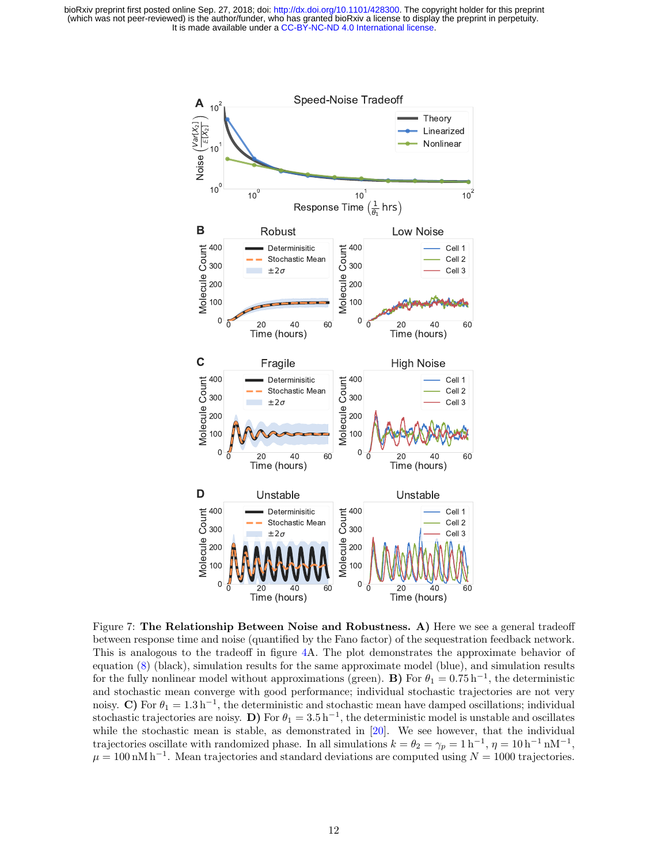

<span id="page-11-0"></span>Figure 7: The Relationship Between Noise and Robustness. A) Here we see a general tradeoff between response time and noise (quantified by the Fano factor) of the sequestration feedback network. This is analogous to the tradeoff in figure [4A](#page-6-1). The plot demonstrates the approximate behavior of equation [\(8\)](#page-12-0) (black), simulation results for the same approximate model (blue), and simulation results for the fully nonlinear model without approximations (green). **B**) For  $\theta_1 = 0.75 \text{ h}^{-1}$ , the deterministic and stochastic mean converge with good performance; individual stochastic trajectories are not very noisy. C) For  $\theta_1 = 1.3 \,\mathrm{h}^{-1}$ , the deterministic and stochastic mean have damped oscillations; individual stochastic trajectories are noisy. D) For  $\theta_1 = 3.5 \,\mathrm{h}^{-1}$ , the deterministic model is unstable and oscillates while the stochastic mean is stable, as demonstrated in  $[20]$ . We see however, that the individual trajectories oscillate with randomized phase. In all simulations  $k = \theta_2 = \gamma_p = 1 \text{ h}^{-1}$ ,  $\eta = 10 \text{ h}^{-1} \text{ nM}^{-1}$ ,  $\mu = 100 \text{ nM h}^{-1}$ . Mean trajectories and standard deviations are computed using  $N = 1000$  trajectories.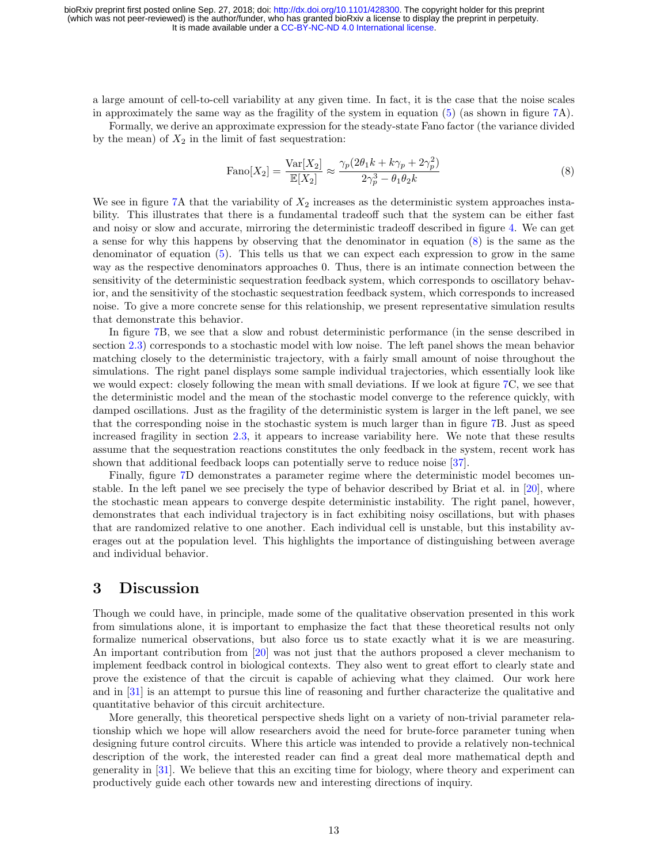a large amount of cell-to-cell variability at any given time. In fact, it is the case that the noise scales in approximately the same way as the fragility of the system in equation [\(5\)](#page-5-2) (as shown in figure [7A](#page-11-0)).

Formally, we derive an approximate expression for the steady-state Fano factor (the variance divided by the mean) of  $X_2$  in the limit of fast sequestration:

<span id="page-12-0"></span>
$$
\text{Fano}[X_2] = \frac{\text{Var}[X_2]}{\mathbb{E}[X_2]} \approx \frac{\gamma_p (2\theta_1 k + k\gamma_p + 2\gamma_p^2)}{2\gamma_p^3 - \theta_1 \theta_2 k} \tag{8}
$$

We see in figure [7A](#page-11-0) that the variability of  $X_2$  increases as the deterministic system approaches instability. This illustrates that there is a fundamental tradeoff such that the system can be either fast and noisy or slow and accurate, mirroring the deterministic tradeoff described in figure [4.](#page-6-1) We can get a sense for why this happens by observing that the denominator in equation [\(8\)](#page-12-0) is the same as the denominator of equation [\(5\)](#page-5-2). This tells us that we can expect each expression to grow in the same way as the respective denominators approaches 0. Thus, there is an intimate connection between the sensitivity of the deterministic sequestration feedback system, which corresponds to oscillatory behavior, and the sensitivity of the stochastic sequestration feedback system, which corresponds to increased noise. To give a more concrete sense for this relationship, we present representative simulation results that demonstrate this behavior.

In figure [7B](#page-11-0), we see that a slow and robust deterministic performance (in the sense described in section [2.3\)](#page-5-0) corresponds to a stochastic model with low noise. The left panel shows the mean behavior matching closely to the deterministic trajectory, with a fairly small amount of noise throughout the simulations. The right panel displays some sample individual trajectories, which essentially look like we would expect: closely following the mean with small deviations. If we look at figure [7C](#page-11-0), we see that the deterministic model and the mean of the stochastic model converge to the reference quickly, with damped oscillations. Just as the fragility of the deterministic system is larger in the left panel, we see that the corresponding noise in the stochastic system is much larger than in figure [7B](#page-11-0). Just as speed increased fragility in section [2.3,](#page-5-0) it appears to increase variability here. We note that these results assume that the sequestration reactions constitutes the only feedback in the system, recent work has shown that additional feedback loops can potentially serve to reduce noise [\[37\]](#page-16-9).

Finally, figure [7D](#page-11-0) demonstrates a parameter regime where the deterministic model becomes unstable. In the left panel we see precisely the type of behavior described by Briat et al. in [\[20\]](#page-15-7), where the stochastic mean appears to converge despite deterministic instability. The right panel, however, demonstrates that each individual trajectory is in fact exhibiting noisy oscillations, but with phases that are randomized relative to one another. Each individual cell is unstable, but this instability averages out at the population level. This highlights the importance of distinguishing between average and individual behavior.

# 3 Discussion

Though we could have, in principle, made some of the qualitative observation presented in this work from simulations alone, it is important to emphasize the fact that these theoretical results not only formalize numerical observations, but also force us to state exactly what it is we are measuring. An important contribution from [\[20\]](#page-15-7) was not just that the authors proposed a clever mechanism to implement feedback control in biological contexts. They also went to great effort to clearly state and prove the existence of that the circuit is capable of achieving what they claimed. Our work here and in [\[31\]](#page-16-3) is an attempt to pursue this line of reasoning and further characterize the qualitative and quantitative behavior of this circuit architecture.

More generally, this theoretical perspective sheds light on a variety of non-trivial parameter relationship which we hope will allow researchers avoid the need for brute-force parameter tuning when designing future control circuits. Where this article was intended to provide a relatively non-technical description of the work, the interested reader can find a great deal more mathematical depth and generality in [\[31\]](#page-16-3). We believe that this an exciting time for biology, where theory and experiment can productively guide each other towards new and interesting directions of inquiry.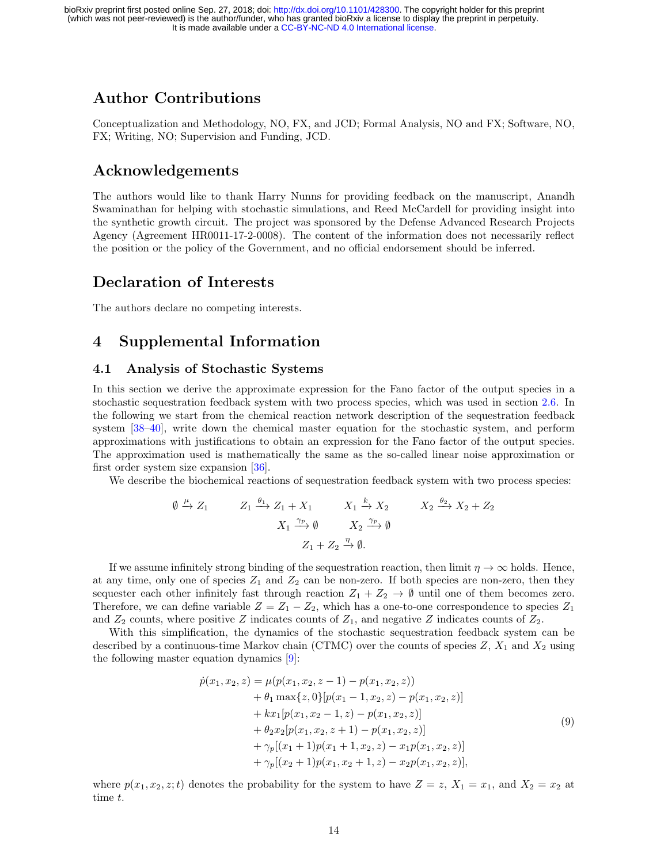# Author Contributions

Conceptualization and Methodology, NO, FX, and JCD; Formal Analysis, NO and FX; Software, NO, FX; Writing, NO; Supervision and Funding, JCD.

# Acknowledgements

The authors would like to thank Harry Nunns for providing feedback on the manuscript, Anandh Swaminathan for helping with stochastic simulations, and Reed McCardell for providing insight into the synthetic growth circuit. The project was sponsored by the Defense Advanced Research Projects Agency (Agreement HR0011-17-2-0008). The content of the information does not necessarily reflect the position or the policy of the Government, and no official endorsement should be inferred.

# Declaration of Interests

The authors declare no competing interests.

# 4 Supplemental Information

#### 4.1 Analysis of Stochastic Systems

In this section we derive the approximate expression for the Fano factor of the output species in a stochastic sequestration feedback system with two process species, which was used in section [2.6.](#page-10-0) In the following we start from the chemical reaction network description of the sequestration feedback system [\[38](#page-16-10)[–40\]](#page-16-11), write down the chemical master equation for the stochastic system, and perform approximations with justifications to obtain an expression for the Fano factor of the output species. The approximation used is mathematically the same as the so-called linear noise approximation or first order system size expansion [\[36\]](#page-16-8).

We describe the biochemical reactions of sequestration feedback system with two process species:

$$
\emptyset \xrightarrow{\mu} Z_1 \xrightarrow{q_1} Z_1 \xrightarrow{q_2} Z_1 + X_1 \qquad X_1 \xrightarrow{k} X_2 \qquad X_2 \xrightarrow{q_2} X_2 + Z_2
$$

$$
X_1 \xrightarrow{\gamma_p} \emptyset \qquad X_2 \xrightarrow{\gamma_p} \emptyset
$$

$$
Z_1 + Z_2 \xrightarrow{\eta} \emptyset.
$$

If we assume infinitely strong binding of the sequestration reaction, then limit  $\eta \to \infty$  holds. Hence, at any time, only one of species  $Z_1$  and  $Z_2$  can be non-zero. If both species are non-zero, then they sequester each other infinitely fast through reaction  $Z_1 + Z_2 \rightarrow \emptyset$  until one of them becomes zero. Therefore, we can define variable  $Z = Z_1 - Z_2$ , which has a one-to-one correspondence to species  $Z_1$ and  $Z_2$  counts, where positive Z indicates counts of  $Z_1$ , and negative Z indicates counts of  $Z_2$ .

With this simplification, the dynamics of the stochastic sequestration feedback system can be described by a continuous-time Markov chain (CTMC) over the counts of species  $Z$ ,  $X_1$  and  $X_2$  using the following master equation dynamics [\[9\]](#page-15-1):

<span id="page-13-0"></span>
$$
\dot{p}(x_1, x_2, z) = \mu(p(x_1, x_2, z - 1) - p(x_1, x_2, z)) \n+ \theta_1 \max\{z, 0\}[p(x_1 - 1, x_2, z) - p(x_1, x_2, z)] \n+ kx_1[p(x_1, x_2 - 1, z) - p(x_1, x_2, z)] \n+ \theta_2 x_2[p(x_1, x_2, z + 1) - p(x_1, x_2, z)] \n+ \gamma_p[(x_1 + 1)p(x_1 + 1, x_2, z) - x_1 p(x_1, x_2, z)] \n+ \gamma_p[(x_2 + 1)p(x_1, x_2 + 1, z) - x_2 p(x_1, x_2, z)],
$$
\n(9)

where  $p(x_1, x_2, z; t)$  denotes the probability for the system to have  $Z = z$ ,  $X_1 = x_1$ , and  $X_2 = x_2$  at time t.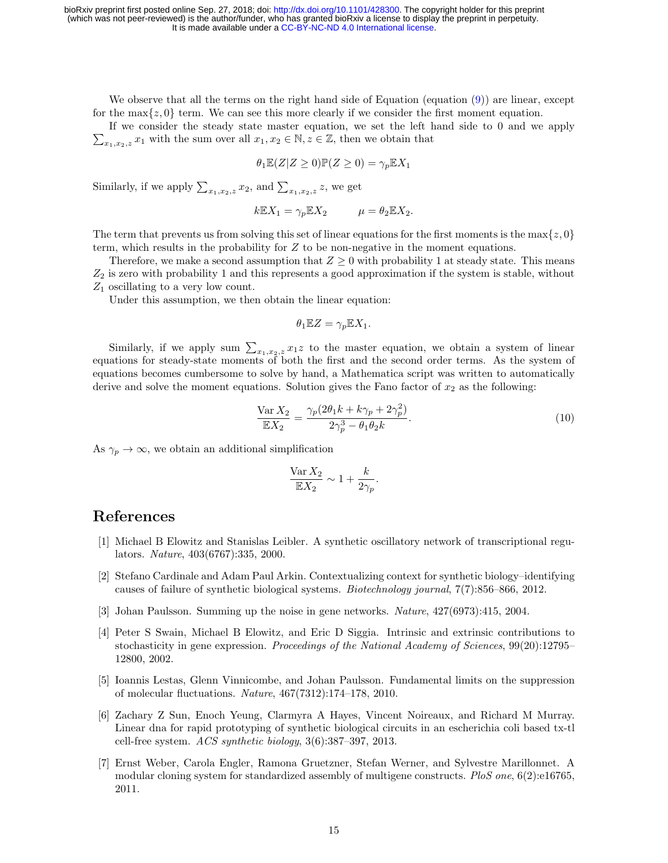We observe that all the terms on the right hand side of Equation (equation [\(9\)](#page-13-0)) are linear, except for the max $\{z, 0\}$  term. We can see this more clearly if we consider the first moment equation.

 $\sum_{x_1,x_2,z} x_1$  with the sum over all  $x_1,x_2 \in \mathbb{N}, z \in \mathbb{Z}$ , then we obtain that If we consider the steady state master equation, we set the left hand side to 0 and we apply

$$
\theta_1 \mathbb{E}(Z|Z \ge 0) \mathbb{P}(Z \ge 0) = \gamma_p \mathbb{E} X_1
$$

Similarly, if we apply  $\sum_{x_1,x_2,z} x_2$ , and  $\sum_{x_1,x_2,z} z$ , we get

$$
k\mathbb{E}X_1 = \gamma_p \mathbb{E}X_2 \qquad \mu = \theta_2 \mathbb{E}X_2.
$$

The term that prevents us from solving this set of linear equations for the first moments is the max $\{z, 0\}$ term, which results in the probability for  $Z$  to be non-negative in the moment equations.

Therefore, we make a second assumption that  $Z \geq 0$  with probability 1 at steady state. This means  $Z_2$  is zero with probability 1 and this represents a good approximation if the system is stable, without  $Z_1$  oscillating to a very low count.

Under this assumption, we then obtain the linear equation:

$$
\theta_1 \mathbb{E} Z = \gamma_p \mathbb{E} X_1.
$$

Similarly, if we apply sum  $\sum_{x_1,x_2,z} x_1z$  to the master equation, we obtain a system of linear equations for steady-state moments of both the first and the second order terms. As the system of equations becomes cumbersome to solve by hand, a Mathematica script was written to automatically derive and solve the moment equations. Solution gives the Fano factor of  $x_2$  as the following:

$$
\frac{\text{Var}\,X_2}{\mathbb{E}X_2} = \frac{\gamma_p (2\theta_1 k + k\gamma_p + 2\gamma_p^2)}{2\gamma_p^3 - \theta_1 \theta_2 k}.
$$
\n(10)

As  $\gamma_p \to \infty$ , we obtain an additional simplification

$$
\frac{\text{Var}\,X_2}{\mathbb{E}X_2} \sim 1 + \frac{k}{2\gamma_p}.
$$

# References

- <span id="page-14-0"></span>[1] Michael B Elowitz and Stanislas Leibler. A synthetic oscillatory network of transcriptional regulators. Nature, 403(6767):335, 2000.
- [2] Stefano Cardinale and Adam Paul Arkin. Contextualizing context for synthetic biology–identifying causes of failure of synthetic biological systems. Biotechnology journal, 7(7):856–866, 2012.
- [3] Johan Paulsson. Summing up the noise in gene networks. Nature, 427(6973):415, 2004.
- [4] Peter S Swain, Michael B Elowitz, and Eric D Siggia. Intrinsic and extrinsic contributions to stochasticity in gene expression. Proceedings of the National Academy of Sciences, 99(20):12795– 12800, 2002.
- <span id="page-14-1"></span>[5] Ioannis Lestas, Glenn Vinnicombe, and Johan Paulsson. Fundamental limits on the suppression of molecular fluctuations. Nature, 467(7312):174–178, 2010.
- <span id="page-14-2"></span>[6] Zachary Z Sun, Enoch Yeung, Clarmyra A Hayes, Vincent Noireaux, and Richard M Murray. Linear dna for rapid prototyping of synthetic biological circuits in an escherichia coli based tx-tl cell-free system.  $ACS$  synthetic biology,  $3(6):387-397, 2013$ .
- <span id="page-14-3"></span>[7] Ernst Weber, Carola Engler, Ramona Gruetzner, Stefan Werner, and Sylvestre Marillonnet. A modular cloning system for standardized assembly of multigene constructs. PloS one,  $6(2)$ :e16765. 2011.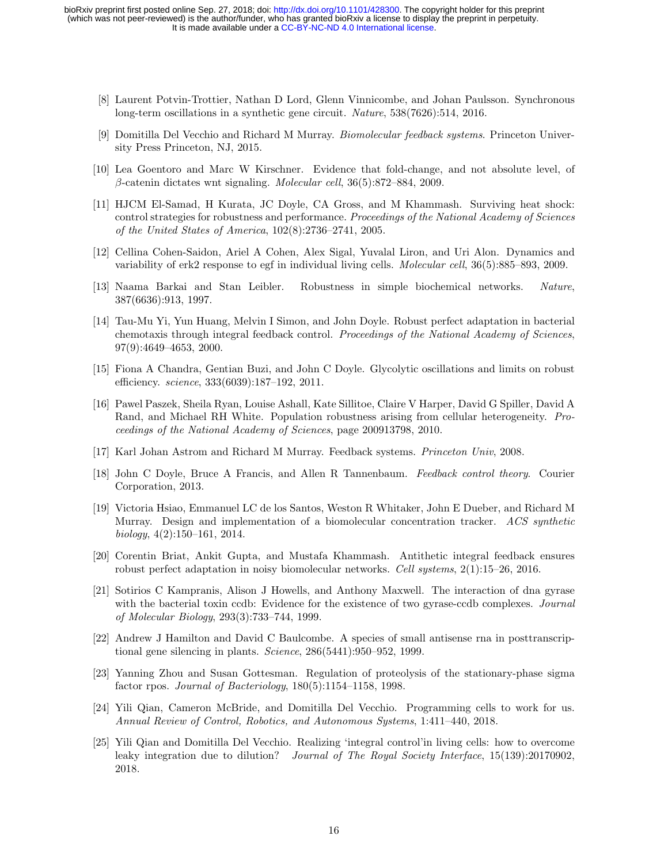- <span id="page-15-0"></span>[8] Laurent Potvin-Trottier, Nathan D Lord, Glenn Vinnicombe, and Johan Paulsson. Synchronous long-term oscillations in a synthetic gene circuit. Nature, 538(7626):514, 2016.
- <span id="page-15-1"></span>[9] Domitilla Del Vecchio and Richard M Murray. Biomolecular feedback systems. Princeton University Press Princeton, NJ, 2015.
- <span id="page-15-2"></span>[10] Lea Goentoro and Marc W Kirschner. Evidence that fold-change, and not absolute level, of  $\beta$ -catenin dictates wnt signaling. *Molecular cell*, 36(5):872–884, 2009.
- [11] HJCM El-Samad, H Kurata, JC Doyle, CA Gross, and M Khammash. Surviving heat shock: control strategies for robustness and performance. Proceedings of the National Academy of Sciences of the United States of America, 102(8):2736–2741, 2005.
- [12] Cellina Cohen-Saidon, Ariel A Cohen, Alex Sigal, Yuvalal Liron, and Uri Alon. Dynamics and variability of erk2 response to egf in individual living cells. Molecular cell,  $36(5)$ :885–893, 2009.
- <span id="page-15-11"></span>[13] Naama Barkai and Stan Leibler. Robustness in simple biochemical networks. Nature, 387(6636):913, 1997.
- <span id="page-15-12"></span>[14] Tau-Mu Yi, Yun Huang, Melvin I Simon, and John Doyle. Robust perfect adaptation in bacterial chemotaxis through integral feedback control. Proceedings of the National Academy of Sciences, 97(9):4649–4653, 2000.
- [15] Fiona A Chandra, Gentian Buzi, and John C Doyle. Glycolytic oscillations and limits on robust efficiency. *science*, 333(6039):187-192, 2011.
- <span id="page-15-3"></span>[16] Pawel Paszek, Sheila Ryan, Louise Ashall, Kate Sillitoe, Claire V Harper, David G Spiller, David A Rand, and Michael RH White. Population robustness arising from cellular heterogeneity. Proceedings of the National Academy of Sciences, page 200913798, 2010.
- <span id="page-15-4"></span>[17] Karl Johan Astrom and Richard M Murray. Feedback systems. Princeton Univ, 2008.
- <span id="page-15-5"></span>[18] John C Doyle, Bruce A Francis, and Allen R Tannenbaum. Feedback control theory. Courier Corporation, 2013.
- <span id="page-15-6"></span>[19] Victoria Hsiao, Emmanuel LC de los Santos, Weston R Whitaker, John E Dueber, and Richard M Murray. Design and implementation of a biomolecular concentration tracker. ACS synthetic biology,  $4(2):150-161$ ,  $2014$ .
- <span id="page-15-7"></span>[20] Corentin Briat, Ankit Gupta, and Mustafa Khammash. Antithetic integral feedback ensures robust perfect adaptation in noisy biomolecular networks. Cell systems, 2(1):15–26, 2016.
- <span id="page-15-8"></span>[21] Sotirios C Kampranis, Alison J Howells, and Anthony Maxwell. The interaction of dna gyrase with the bacterial toxin ccdb: Evidence for the existence of two gyrase-ccdb complexes. Journal of Molecular Biology, 293(3):733–744, 1999.
- [22] Andrew J Hamilton and David C Baulcombe. A species of small antisense rna in posttranscriptional gene silencing in plants. Science, 286(5441):950–952, 1999.
- <span id="page-15-9"></span>[23] Yanning Zhou and Susan Gottesman. Regulation of proteolysis of the stationary-phase sigma factor rpos. Journal of Bacteriology, 180(5):1154–1158, 1998.
- <span id="page-15-10"></span>[24] Yili Qian, Cameron McBride, and Domitilla Del Vecchio. Programming cells to work for us. Annual Review of Control, Robotics, and Autonomous Systems, 1:411–440, 2018.
- [25] Yili Qian and Domitilla Del Vecchio. Realizing 'integral control'in living cells: how to overcome leaky integration due to dilution? Journal of The Royal Society Interface, 15(139):20170902. 2018.